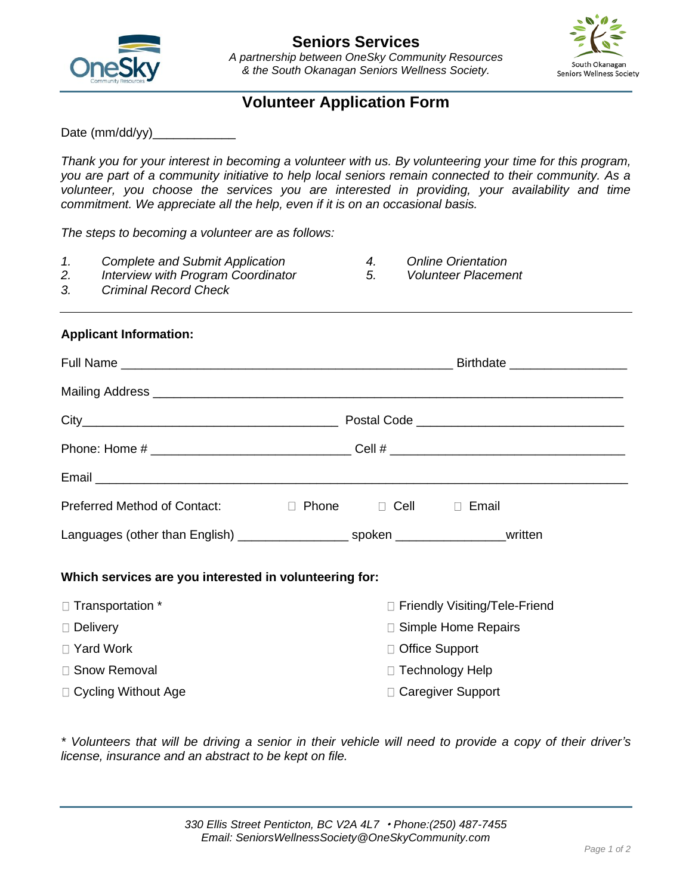



# **Volunteer Application Form**

Date (mm/dd/yy)

*Thank you for your interest in becoming a volunteer with us. By volunteering your time for this program, you are part of a community initiative to help local seniors remain connected to their community. As a volunteer, you choose the services you are interested in providing, your availability and time commitment. We appreciate all the help, even if it is on an occasional basis.*

*The steps to becoming a volunteer are as follows:*

- *1. Complete and Submit Application*
- *2. Interview with Program Coordinator*
- *4. Online Orientation*

*3. Criminal Record Check*

*5. Volunteer Placement*

## **Applicant Information:**

| Mailing Address <b>contract to the contract of the contract of the contract of the contract of the contract of the contract of the contract of the contract of the contract of the contract of the contract of the contract of t</b> |  |                  |                                 |  |  |
|--------------------------------------------------------------------------------------------------------------------------------------------------------------------------------------------------------------------------------------|--|------------------|---------------------------------|--|--|
|                                                                                                                                                                                                                                      |  |                  |                                 |  |  |
|                                                                                                                                                                                                                                      |  |                  |                                 |  |  |
|                                                                                                                                                                                                                                      |  |                  |                                 |  |  |
| Preferred Method of Contact: D Phone D Cell D Email                                                                                                                                                                                  |  |                  |                                 |  |  |
|                                                                                                                                                                                                                                      |  |                  |                                 |  |  |
| Which services are you interested in volunteering for:                                                                                                                                                                               |  |                  |                                 |  |  |
| □ Transportation *                                                                                                                                                                                                                   |  |                  | □ Friendly Visiting/Tele-Friend |  |  |
| $\Box$ Delivery                                                                                                                                                                                                                      |  |                  | □ Simple Home Repairs           |  |  |
| □ Yard Work                                                                                                                                                                                                                          |  | □ Office Support |                                 |  |  |
| □ Snow Removal                                                                                                                                                                                                                       |  |                  | □ Technology Help               |  |  |
| □ Cycling Without Age                                                                                                                                                                                                                |  |                  | □ Caregiver Support             |  |  |

*\* Volunteers that will be driving a senior in their vehicle will need to provide a copy of their driver's license, insurance and an abstract to be kept on file.*